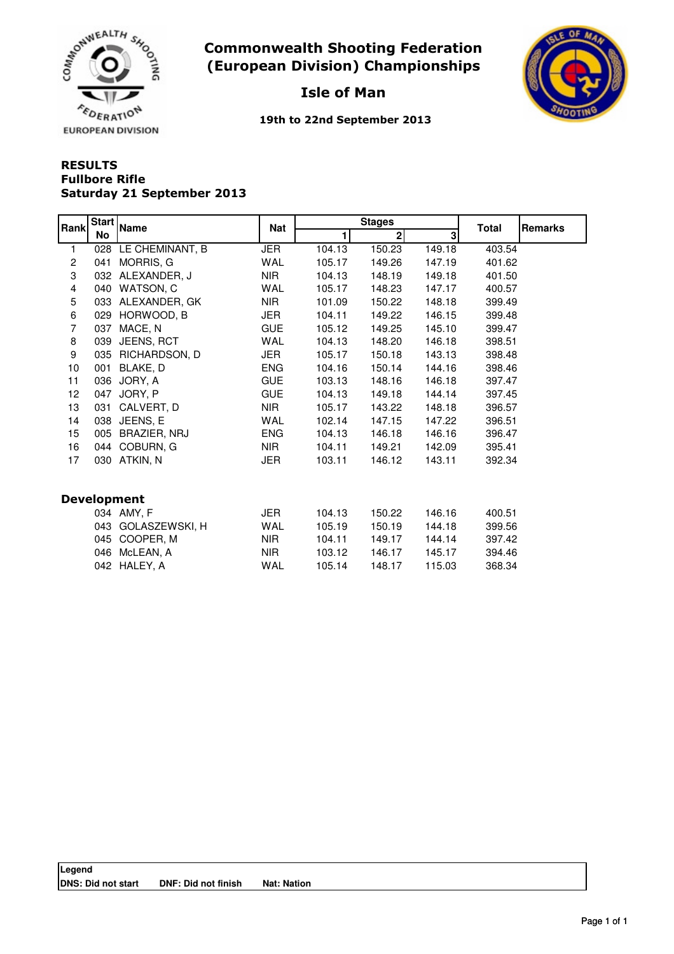

Commonwealth Shooting Federation (European Division) Championships



## Isle of Man

19th to 22nd September 2013

## RESULTS Saturday 21 September 2013 Fullbore Rifle

| Rank               | <b>Start</b><br>No | <b>Name</b>      | <b>Nat</b> |        | <b>Stages</b> |        | <b>Remarks</b> |  |  |  |
|--------------------|--------------------|------------------|------------|--------|---------------|--------|----------------|--|--|--|
|                    |                    |                  |            | 1      | $\mathbf 2$   | 3      | <b>Total</b>   |  |  |  |
| 1                  | 028                | LE CHEMINANT, B  | <b>JER</b> | 104.13 | 150.23        | 149.18 | 403.54         |  |  |  |
| $\overline{c}$     | 041                | MORRIS, G        | <b>WAL</b> | 105.17 | 149.26        | 147.19 | 401.62         |  |  |  |
| 3                  |                    | 032 ALEXANDER, J | <b>NIR</b> | 104.13 | 148.19        | 149.18 | 401.50         |  |  |  |
| 4                  | 040                | WATSON, C        | <b>WAL</b> | 105.17 | 148.23        | 147.17 | 400.57         |  |  |  |
| 5                  | 033                | ALEXANDER, GK    | <b>NIR</b> | 101.09 | 150.22        | 148.18 | 399.49         |  |  |  |
| 6                  | 029                | HORWOOD, B       | JER        | 104.11 | 149.22        | 146.15 | 399.48         |  |  |  |
| 7                  | 037                | MACE, N          | <b>GUE</b> | 105.12 | 149.25        | 145.10 | 399.47         |  |  |  |
| 8                  | 039                | JEENS, RCT       | <b>WAL</b> | 104.13 | 148.20        | 146.18 | 398.51         |  |  |  |
| 9                  | 035                | RICHARDSON, D    | JER        | 105.17 | 150.18        | 143.13 | 398.48         |  |  |  |
| 10                 | 001                | BLAKE, D         | <b>ENG</b> | 104.16 | 150.14        | 144.16 | 398.46         |  |  |  |
| 11                 | 036                | JORY, A          | <b>GUE</b> | 103.13 | 148.16        | 146.18 | 397.47         |  |  |  |
| 12 <sub>2</sub>    | 047                | JORY, P          | <b>GUE</b> | 104.13 | 149.18        | 144.14 | 397.45         |  |  |  |
| 13                 | 031                | CALVERT, D       | <b>NIR</b> | 105.17 | 143.22        | 148.18 | 396.57         |  |  |  |
| 14                 | 038                | JEENS, E         | <b>WAL</b> | 102.14 | 147.15        | 147.22 | 396.51         |  |  |  |
| 15                 | 005                | BRAZIER, NRJ     | <b>ENG</b> | 104.13 | 146.18        | 146.16 | 396.47         |  |  |  |
| 16                 | 044                | COBURN, G        | <b>NIR</b> | 104.11 | 149.21        | 142.09 | 395.41         |  |  |  |
| 17                 | 030                | ATKIN, N         | JER        | 103.11 | 146.12        | 143.11 | 392.34         |  |  |  |
|                    |                    |                  |            |        |               |        |                |  |  |  |
| <b>Development</b> |                    |                  |            |        |               |        |                |  |  |  |
|                    |                    | 034 AMY, F       | JER        | 104.13 | 150.22        | 146.16 | 400.51         |  |  |  |
|                    | 043                | GOLASZEWSKI, H   | WAL        | 105.19 | 150.19        | 144.18 | 399.56         |  |  |  |
|                    | 045                | COOPER, M        | <b>NIR</b> | 104.11 | 149.17        | 144.14 | 397.42         |  |  |  |
|                    | 046                | McLEAN, A        | <b>NIR</b> | 103.12 | 146.17        | 145.17 | 394.46         |  |  |  |
|                    | 042                | HALEY, A         | <b>WAL</b> | 105.14 | 148.17        | 115.03 | 368.34         |  |  |  |